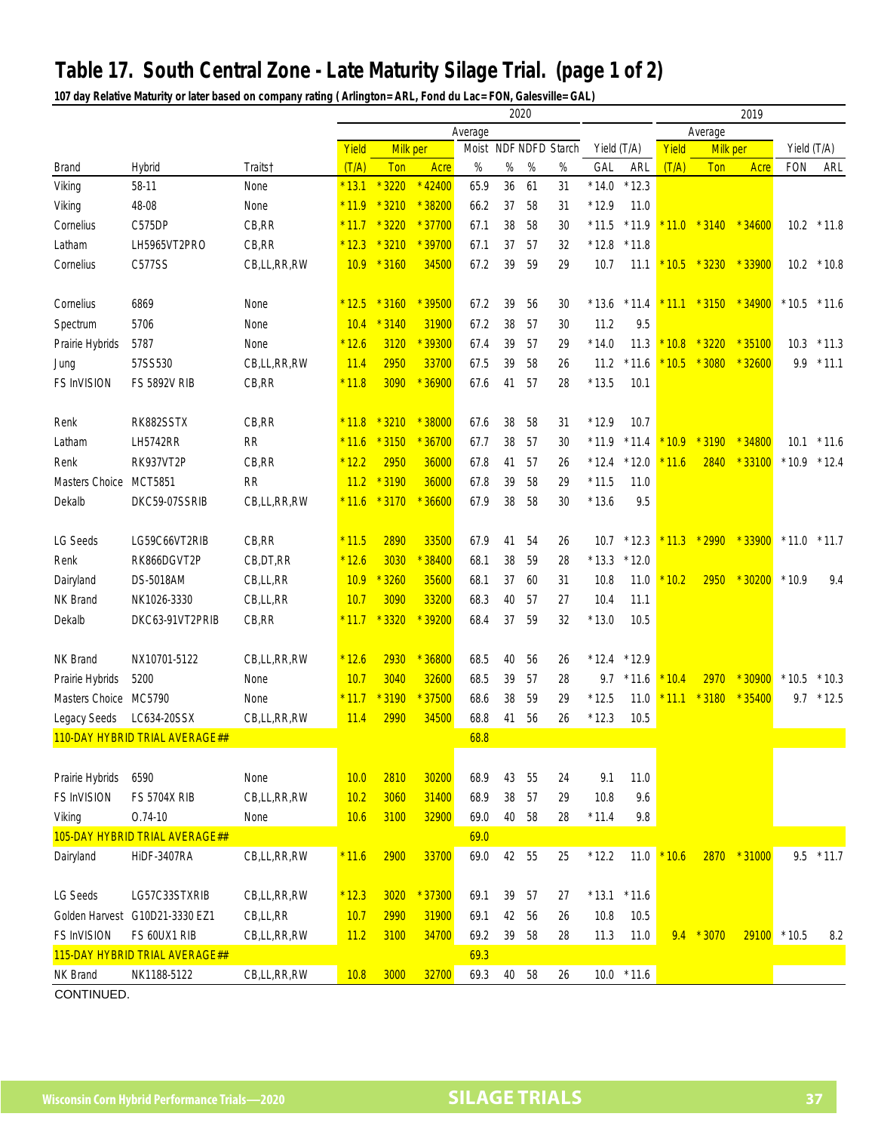## **Table 17. South Central Zone - Late Maturity Silage Trial. (page 1 of 2)**

**107 day Relative Maturity or later based on company rating ( Arlington= ARL, Fond du Lac= FON, Galesville= GAL)**

|                       |                                |                     | 2020    |            |          |         |                 |      |      |             |         | 2019    |              |                       |                |               |  |
|-----------------------|--------------------------------|---------------------|---------|------------|----------|---------|-----------------|------|------|-------------|---------|---------|--------------|-----------------------|----------------|---------------|--|
|                       |                                |                     |         |            |          | Average |                 |      |      |             |         | Average |              |                       |                |               |  |
|                       |                                |                     | Yield   | Milk per   |          | Moist   | NDF NDFD Starch |      |      | Yield (T/A) |         | Yield   | Milk per     |                       | Yield (T/A)    |               |  |
| <b>Brand</b>          | Hybrid                         | Traits <sup>†</sup> | (T/A)   | <b>Ton</b> | Acre     | $\%$    | $\%$            | $\%$ | $\%$ | GAL         | ARL     | (T/A)   | Ton          | Acre                  | <b>FON</b>     | ARL           |  |
| Viking                | 58-11                          | None                | $*13.1$ | 3220       | 42400    | 65.9    | 36              | 61   | 31   | $*14.0$     | $*12.3$ |         |              |                       |                |               |  |
| Viking                | 48-08                          | None                | $*11.9$ | 3210       | $*38200$ | 66.2    | 37              | 58   | 31   | $*12.9$     | 11.0    |         |              |                       |                |               |  |
| Cornelius             | C575DP                         | CB, RR              | $*11.7$ | 3220       | $*37700$ | 67.1    | 38              | 58   | 30   | $*11.5$     | $*11.9$ |         |              | $11.0 * 3140 * 34600$ | 10.2           | $*11.8$       |  |
| Latham                | LH5965VT2PRO                   | CB, RR              | $*12.3$ | 3210       | $*39700$ | 67.1    | 37              | 57   | 32   | $*12.8$     | $*11.8$ |         |              |                       |                |               |  |
| Cornelius             | C577SS                         | CB,LL,RR,RW         | 10.9    | $*3160$    | 34500    | 67.2    | 39              | 59   | 29   | 10.7        | 11.1    | $*10.5$ | $*3230$      | $*33900$              |                | $10.2$ * 10.8 |  |
|                       |                                |                     |         |            |          |         |                 |      |      |             |         |         |              |                       |                |               |  |
| Cornelius             | 6869                           | None                | $*12.5$ | $*3160$    | $*39500$ | 67.2    | 39              | 56   | 30   | $*13.6$     | $*11.4$ | $*11.1$ | $*3150$      | $*34900$              | $*10.5$        | $*11.6$       |  |
| Spectrum              | 5706                           | None                | 10.4    | $*3140$    | 31900    | 67.2    | 38              | 57   | 30   | 11.2        | 9.5     |         |              |                       |                |               |  |
| Prairie Hybrids       | 5787                           | None                | $*12.6$ | 3120       | * 39300  | 67.4    | 39              | 57   | 29   | $*14.0$     | 11.3    | 10.8    | $*3220$      | $*35100$              | 10.3           | $*11.3$       |  |
| Jung                  | 57SS530                        | CB,LL,RR,RW         | 11.4    | 2950       | 33700    | 67.5    | 39              | 58   | 26   | 11.2        | $*11.6$ | 10.5    | $*3080$      | $*32600$              | 9.9            | $*11.1$       |  |
| FS InVISION           | <b>FS 5892V RIB</b>            | CB, RR              | $*11.8$ | 3090       | 36900    | 67.6    | 41              | 57   | 28   | $*13.5$     | 10.1    |         |              |                       |                |               |  |
|                       |                                |                     |         |            |          |         |                 |      |      |             |         |         |              |                       |                |               |  |
| Renk                  | RK882SSTX                      | CB, RR              | $*11.8$ | $*3210$    | $*38000$ | 67.6    | 38              | 58   | 31   | $*12.9$     | 10.7    |         |              |                       |                |               |  |
| Latham                | <b>LH5742RR</b>                | <b>RR</b>           | $*11.6$ | 3150       | $*36700$ | 67.7    | 38              | 57   | 30   | $*11.9$     | $*11.4$ | 10.9    | 3190         | $*34800$              | 10.1           | $*11.6$       |  |
| Renk                  | <b>RK937VT2P</b>               | CB, RR              | $*12.2$ | 2950       | 36000    | 67.8    | 41              | 57   | 26   | $*12.4$     | $*12.0$ | 11.6    | 2840         | $*33100$              | $*10.9$        | $*12.4$       |  |
| Masters Choice        | <b>MCT5851</b>                 | <b>RR</b>           | 11.2    | $*3190$    | 36000    | 67.8    | 39              | 58   | 29   | $*11.5$     | 11.0    |         |              |                       |                |               |  |
| Dekalb                | DKC59-07SSRIB                  |                     | $*11.6$ | $*3170$    | $*36600$ | 67.9    | 38              | 58   | 30   | $*13.6$     | 9.5     |         |              |                       |                |               |  |
|                       |                                | CB,LL,RR,RW         |         |            |          |         |                 |      |      |             |         |         |              |                       |                |               |  |
|                       | LG59C66VT2RIB                  | CB,RR               | $*11.5$ | 2890       | 33500    | 67.9    | 41              | 54   | 26   | 10.7        | $*12.3$ | 11.3    | $*2990$      | $*33900$              | $*11.0$        | $*11.7$       |  |
| LG Seeds              |                                |                     |         |            |          |         |                 |      |      |             |         |         |              |                       |                |               |  |
| Renk                  | RK866DGVT2P                    | CB, DT, RR          | $*12.6$ | 3030       | $*38400$ | 68.1    | 38              | 59   | 28   | $*13.3$     | $*12.0$ |         |              |                       |                |               |  |
| Dairyland             | <b>DS-5018AM</b>               | CB,LL,RR            | 10.9    | 3260       | 35600    | 68.1    | 37              | 60   | 31   | 10.8        | 11.0    | 10.2    | 2950         | $*30200$              | $*10.9$        | 9.4           |  |
| NK Brand              | NK1026-3330                    | CB,LL,RR            | 10.7    | 3090       | 33200    | 68.3    | 40              | 57   | 27   | 10.4        | 11.1    |         |              |                       |                |               |  |
| Dekalb                | DKC63-91VT2PRIB                | CB, RR              | $*11.7$ | 3320       | * 39200  | 68.4    | 37              | 59   | 32   | $*13.0$     | 10.5    |         |              |                       |                |               |  |
|                       |                                |                     |         |            |          |         |                 |      |      |             |         |         |              |                       |                |               |  |
| NK Brand              | NX10701-5122                   | CB,LL,RR,RW         | $*12.6$ | 2930       | * 36800  | 68.5    | 40              | 56   | 26   | $*12.4$     | $*12.9$ |         |              |                       |                |               |  |
| Prairie Hybrids       | 5200                           | None                | 10.7    | 3040       | 32600    | 68.5    | 39              | 57   | 28   | 9.7         | $*11.6$ | 10.4    | 2970         | $*30900$              | $*10.5$        | $*10.3$       |  |
| Masters Choice MC5790 |                                | None                | $*11.7$ | $*3190$    | $*37500$ | 68.6    | 38              | 59   | 29   | $*12.5$     | 11.0    | $*11.1$ | $*3180$      | $*35400$              | 9.7            | $*12.5$       |  |
| <b>Legacy Seeds</b>   | LC634-20SSX                    | CB,LL,RR,RW         | 11.4    | 2990       | 34500    | 68.8    | 41              | 56   | 26   | $*12.3$     | 10.5    |         |              |                       |                |               |  |
|                       | 110-DAY HYBRID TRIAL AVERAGE## |                     |         |            |          | 68.8    |                 |      |      |             |         |         |              |                       |                |               |  |
|                       |                                |                     |         |            |          |         |                 |      |      |             |         |         |              |                       |                |               |  |
| Prairie Hybrids       | 6590                           | None                | 10.0    | 2810       | 30200    | 68.9    | 43              | 55   | 24   | 9.1         | 11.0    |         |              |                       |                |               |  |
| FS InVISION           | <b>FS 5704X RIB</b>            | CB,LL,RR,RW         | 10.2    | 3060       | 31400    | 68.9    | 38              | 57   | 29   | 10.8        | 9.6     |         |              |                       |                |               |  |
| Viking                | $0.74 - 10$                    | None                | 10.6    | 3100       | 32900    | 69.0    | $40\,$          | 58   | 28   | $*11.4$     | $9.8\,$ |         |              |                       |                |               |  |
|                       | 105-DAY HYBRID TRIAL AVERAGE## |                     |         |            |          | 69.0    |                 |      |      |             |         |         |              |                       |                |               |  |
| Dairyland             | HiDF-3407RA                    | CB,LL,RR,RW         | $*11.6$ | 2900       | 33700    | 69.0    | 42              | 55   | 25   | $*12.2$     | 11.0    | $*10.6$ |              | 2870 * 31000          |                | $9.5$ * 11.7  |  |
|                       |                                |                     |         |            |          |         |                 |      |      |             |         |         |              |                       |                |               |  |
| <b>LG Seeds</b>       | LG57C33STXRIB                  | CB,LL,RR,RW         | $*12.3$ | 3020       | $*37300$ | 69.1    | 39              | 57   | 27   | $*13.1$     | $*11.6$ |         |              |                       |                |               |  |
| Golden Harvest        | G10D21-3330 EZ1                | CB,LL,RR            | 10.7    | 2990       | 31900    | 69.1    | 42              | 56   | 26   | 10.8        | 10.5    |         |              |                       |                |               |  |
| <b>FS InVISION</b>    | FS 60UX1 RIB                   | CB,LL,RR,RW         | 11.2    | 3100       | 34700    | 69.2    | 39              | 58   | 28   | 11.3        | 11.0    |         | $9.4 * 3070$ |                       | $29100$ * 10.5 | 8.2           |  |
|                       | 115-DAY HYBRID TRIAL AVERAGE## |                     |         |            |          | 69.3    |                 |      |      |             |         |         |              |                       |                |               |  |
| NK Brand              | NK1188-5122                    | CB,LL,RR,RW         | 10.8    | 3000       | 32700    | 69.3    | $40\,$          | 58   | 26   | 10.0        | $*11.6$ |         |              |                       |                |               |  |
| CONTINUED.            |                                |                     |         |            |          |         |                 |      |      |             |         |         |              |                       |                |               |  |

**Wisconsin Corn Hybrid Performance Trials—2020 SILAGE TRIALS 37**